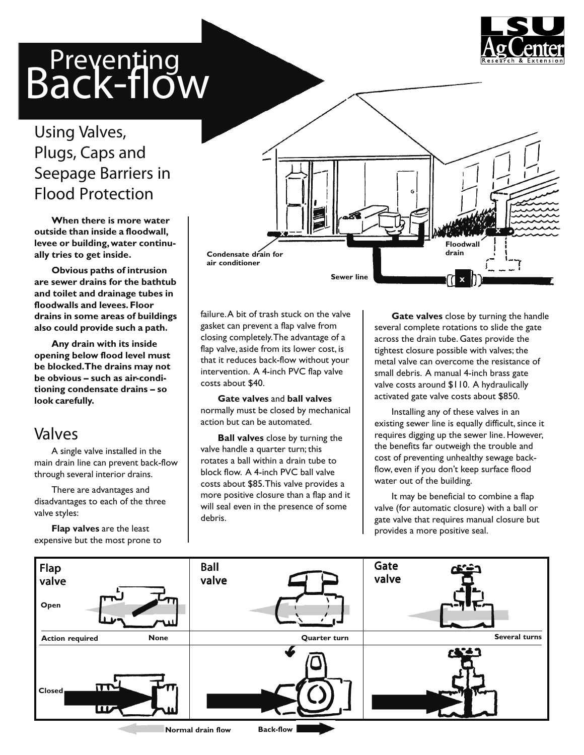# **Preventing**<br>Back-flow



### Using Valves, Plugs, Caps and Seepage Barriers in Flood Protection

**When there is more water outside than inside a floodwall, levee or building,water continually tries to get inside.**

**Obvious paths of intrusion are sewer drains for the bathtub and toilet and drainage tubes in floodwalls and levees.Floor drains in some areas of buildings also could provide such a path.**

**Any drain with its inside opening below flood level must be blocked.The drains may not be obvious – such as air-conditioning condensate drains – so look carefully.**

#### Valves

A single valve installed in the main drain line can prevent back-flow through several interior drains.

There are advantages and disadvantages to each of the three valve styles:

**Flap valves** are the least expensive but the most prone to



failure.A bit of trash stuck on the valve gasket can prevent a flap valve from closing completely.The advantage of a flap valve, aside from its lower cost, is that it reduces back-flow without your intervention. A 4-inch PVC flap valve costs about \$40.

**Gate valves** and **ball valves** normally must be closed by mechanical action but can be automated.

**Ball valves** close by turning the valve handle a quarter turn; this rotates a ball within a drain tube to block flow. A 4-inch PVC ball valve costs about \$85.This valve provides a more positive closure than a flap and it will seal even in the presence of some debris.

**Gate valves** close by turning the handle several complete rotations to slide the gate across the drain tube. Gates provide the tightest closure possible with valves; the metal valve can overcome the resistance of small debris. A manual 4-inch brass gate valve costs around \$110. A hydraulically activated gate valve costs about \$850.

Installing any of these valves in an existing sewer line is equally difficult, since it requires digging up the sewer line. However, the benefits far outweigh the trouble and cost of preventing unhealthy sewage backflow, even if you don't keep surface flood water out of the building.

It may be beneficial to combine a flap valve (for automatic closure) with a ball or gate valve that requires manual closure but provides a more positive seal.